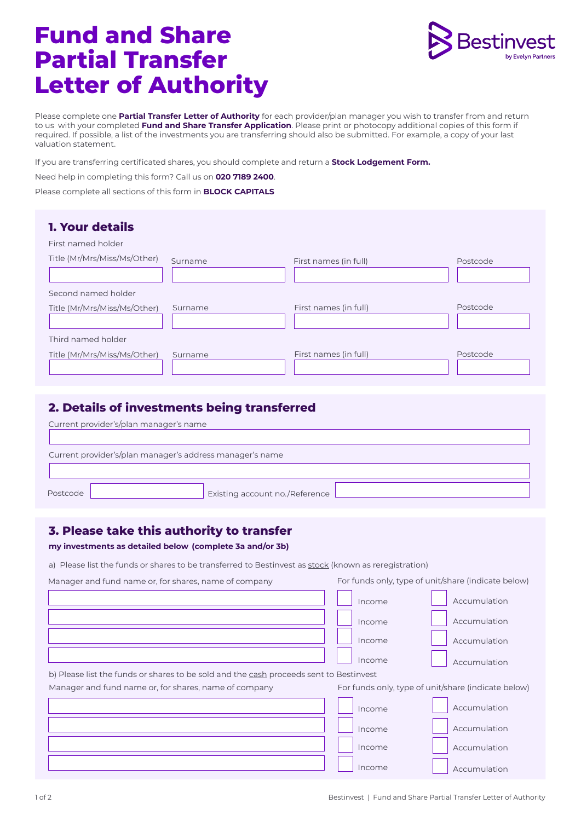## **Fund and Share Partial Transfer Letter of Authority**



Please complete one **Partial Transfer Letter of Authority** for each provider/plan manager you wish to transfer from and return to us with your completed **Fund and Share Transfer Application**. Please print or photocopy additional copies of this form if required. If possible, a list of the investments you are transferring should also be submitted. For example, a copy of your last valuation statement.

If you are transferring certificated shares, you should complete and return a **Stock Lodgement Form.** 

Need help in completing this form? Call us on **020 7189 2400**.

Please complete all sections of this form in **BLOCK CAPITALS** 

| <b>1. Your details</b>       |         |                       |          |
|------------------------------|---------|-----------------------|----------|
| First named holder           |         |                       |          |
| Title (Mr/Mrs/Miss/Ms/Other) | Surname | First names (in full) | Postcode |
| Second named holder          |         |                       |          |
| Title (Mr/Mrs/Miss/Ms/Other) | Surname | First names (in full) | Postcode |
| Third named holder           |         |                       |          |
| Title (Mr/Mrs/Miss/Ms/Other) | Surname | First names (in full) | Postcode |

## **2. Details of investments being transferred**

|                                                          | Current provider's/plan manager's name |  |  |  |  |
|----------------------------------------------------------|----------------------------------------|--|--|--|--|
| Current provider's/plan manager's address manager's name |                                        |  |  |  |  |
|                                                          |                                        |  |  |  |  |
| Postcode                                                 | Existing account no./Reference         |  |  |  |  |

## **3. Please take this authority to transfer**

**my investments as detailed below (complete 3a and/or 3b)** 

a) Please list the funds or shares to be transferred to Bestinvest as stock (known as reregistration)

| Manager and fund name or, for shares, name of company                                  | For funds only, type of unit/share (indicate below) |  |  |
|----------------------------------------------------------------------------------------|-----------------------------------------------------|--|--|
|                                                                                        | Accumulation<br>Income                              |  |  |
|                                                                                        | Accumulation<br>Income                              |  |  |
|                                                                                        | Accumulation<br>Income                              |  |  |
|                                                                                        | Income<br>Accumulation                              |  |  |
| b) Please list the funds or shares to be sold and the cash proceeds sent to Bestinvest |                                                     |  |  |
| Manager and fund name or, for shares, name of company                                  | For funds only, type of unit/share (indicate below) |  |  |
|                                                                                        | Accumulation<br>Income                              |  |  |
|                                                                                        | Accumulation<br>Income                              |  |  |
|                                                                                        | Accumulation<br>Income                              |  |  |
|                                                                                        | Income<br>Accumulation                              |  |  |